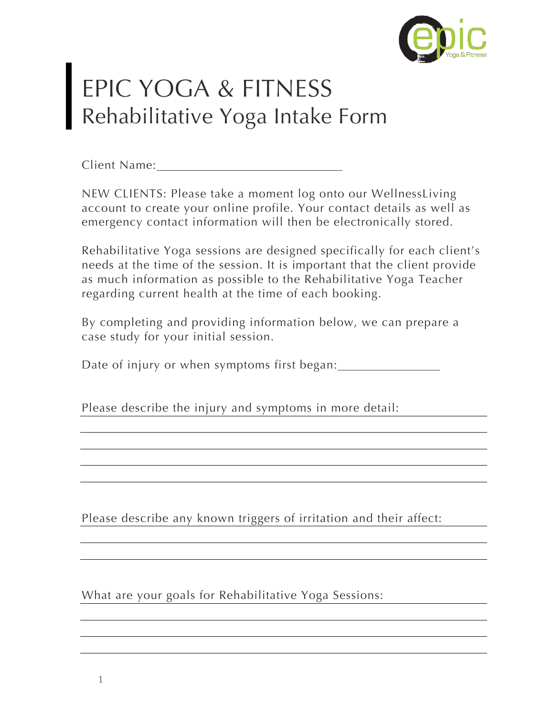

## EPIC YOGA & FITNESS Rehabilitative Yoga Intake Form

Client Name:

NEW CLIENTS: Please take a moment log onto our WellnessLiving account to create your online profile. Your contact details as well as emergency contact information will then be electronically stored.

Rehabilitative Yoga sessions are designed specifically for each client's needs at the time of the session. It is important that the client provide as much information as possible to the Rehabilitative Yoga Teacher regarding current health at the time of each booking.

By completing and providing information below, we can prepare a case study for your initial session.

Date of injury or when symptoms first began:

Please describe the injury and symptoms in more detail:

Please describe any known triggers of irritation and their affect:

What are your goals for Rehabilitative Yoga Sessions: